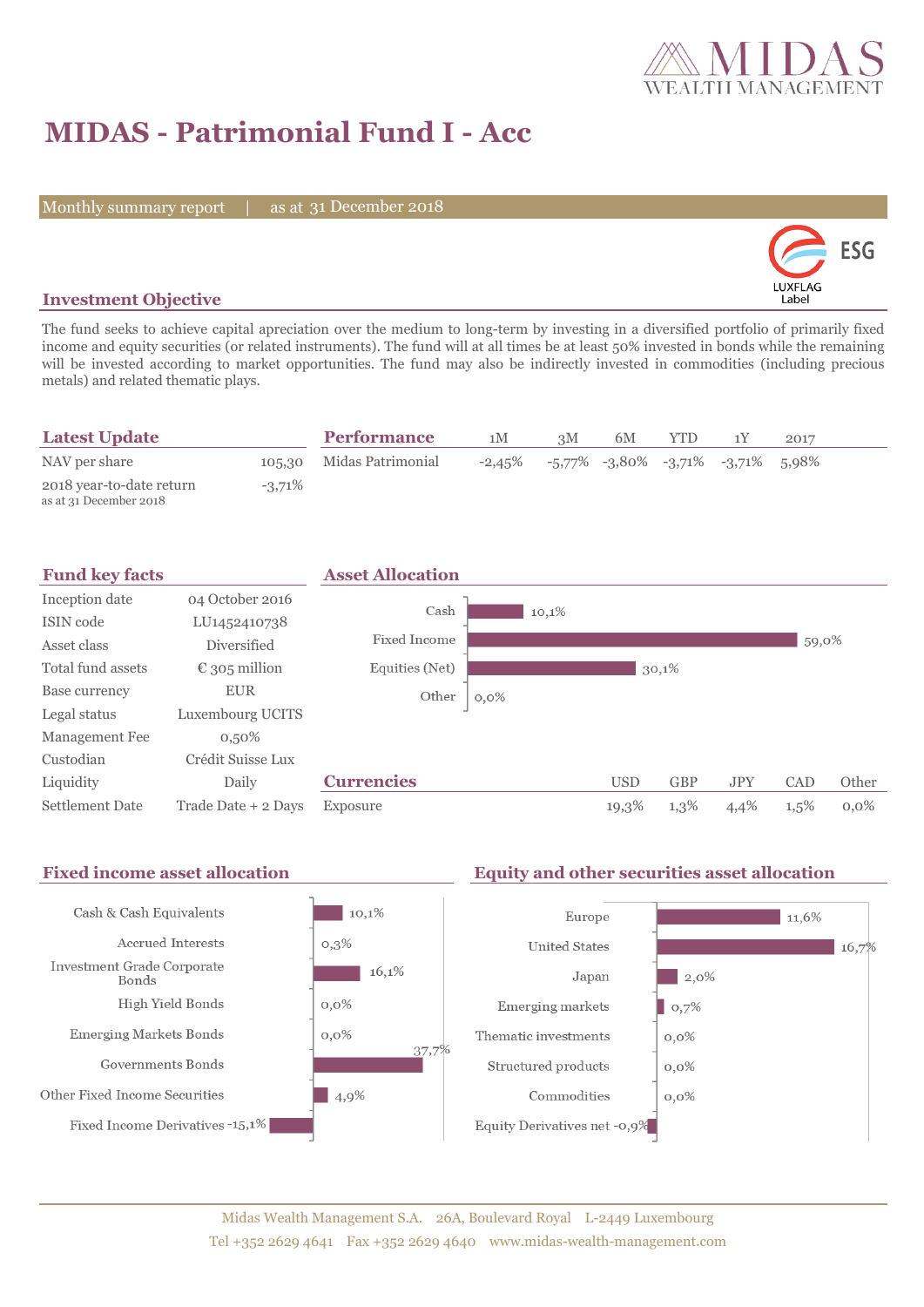

# **MIDAS - Patrimonial Fund I - Acc**

Monthly summary report | as at 31 December 2018



### **Investment Objective**

The fund seeks to achieve capital apreciation over the medium to long-term by investing in a diversified portfolio of primarily fixed income and equity securities (or related instruments). The fund will at all times be at least 50% invested in bonds while the remaining will be invested according to market opportunities. The fund may also be indirectly invested in commodities (including precious metals) and related thematic plays.

| <b>Latest Update</b>                               |           | <b>Performance</b>       | 1М        | 3M | 6M | YTD |                                               | 2017 |
|----------------------------------------------------|-----------|--------------------------|-----------|----|----|-----|-----------------------------------------------|------|
| NAV per share                                      |           | 105.30 Midas Patrimonial | $-2,45\%$ |    |    |     | $-5,77\%$ $-3,80\%$ $-3,71\%$ $-3,71\%$ 5,98% |      |
| 2018 year-to-date return<br>as at 31 December 2018 | $-3.71\%$ |                          |           |    |    |     |                                               |      |

| <b>Fund key facts</b>  |                        | <b>Asset Allocation</b> |         |            |            |            |         |         |
|------------------------|------------------------|-------------------------|---------|------------|------------|------------|---------|---------|
| Inception date         | 04 October 2016        | Cash                    | 10,1%   |            |            |            |         |         |
| ISIN code              | LU1452410738           |                         |         |            |            |            |         |         |
| Asset class            | Diversified            | Fixed Income            |         |            |            |            | 59,0%   |         |
| Total fund assets      | $\epsilon$ 305 million | Equities (Net)          |         |            | 30,1%      |            |         |         |
| Base currency          | <b>EUR</b>             | Other                   | $0,0\%$ |            |            |            |         |         |
| Legal status           | Luxembourg UCITS       |                         |         |            |            |            |         |         |
| Management Fee         | $0,50\%$               |                         |         |            |            |            |         |         |
| Custodian              | Crédit Suisse Lux      |                         |         |            |            |            |         |         |
| Liquidity              | Daily                  | <b>Currencies</b>       |         | <b>USD</b> | <b>GBP</b> | <b>JPY</b> | CAD     | Other   |
| <b>Settlement Date</b> | Trade Date + 2 Days    | Exposure                |         | 19,3%      | 1,3%       | 4,4%       | $1,5\%$ | $0.0\%$ |

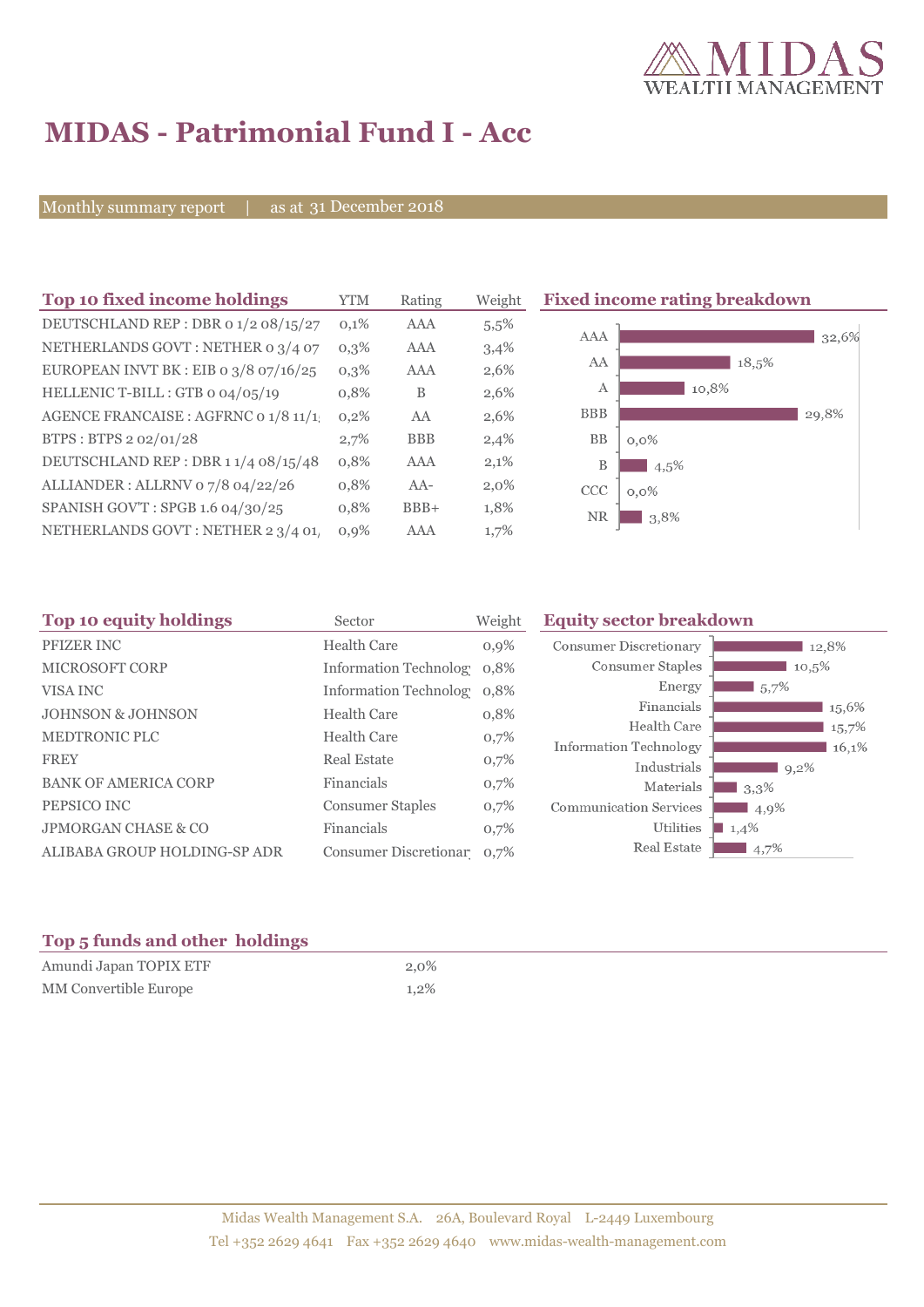

## **MIDAS - Patrimonial Fund I - Acc**

Monthly summary report | as at 31 December 2018

| Top 10 fixed income holdings            | <b>YTM</b> | Rating     | Weight  | <b>Fixed income rating breakdown</b> |
|-----------------------------------------|------------|------------|---------|--------------------------------------|
| DEUTSCHLAND REP : DBR 0 1/2 08/15/27    | 0,1%       | AAA        | $5.5\%$ | AAA                                  |
| NETHERLANDS GOVT : NETHER 0 3/4 07      | $0,3\%$    | AAA        | 3,4%    | 32,6%                                |
| EUROPEAN INVT BK : EIB o $3/8$ o7/16/25 | $0,3\%$    | AAA        | 2,6%    | AA<br>18,5%                          |
| HELLENIC T-BILL : GTB 0 04/05/19        | 0,8%       | B          | 2,6%    | 10,8%<br>А                           |
| AGENCE FRANCAISE : AGFRNC 0 1/8 11/1    | 0,2%       | AA         | 2,6%    | <b>BBB</b><br>29,8%                  |
| BTPS: BTPS 2 02/01/28                   | 2,7%       | <b>BBB</b> | 2,4%    | <b>BB</b><br>$0,0\%$                 |
| DEUTSCHLAND REP: DBR 1 1/4 08/15/48     | 0,8%       | AAA        | 2,1%    | B<br>$4.5\%$                         |
| ALLIANDER: ALLRNV 07/8 04/22/26         | 0,8%       | $AA-$      | $2,0\%$ | CCC<br>$0,0\%$                       |
| SPANISH GOV'T: SPGB 1.6 04/30/25        | 0,8%       | $BBB+$     | 1,8%    | <b>NR</b><br>3,8%                    |
| NETHERLANDS GOVT : NETHER 2 3/4 01      | $0,9\%$    | AAA        | 1,7%    |                                      |

| Top 10 equity holdings         | Sector                     | Weight | <b>Equity sector breakdown</b> |                     |
|--------------------------------|----------------------------|--------|--------------------------------|---------------------|
| PFIZER INC                     | <b>Health Care</b>         | 0,9%   | <b>Consumer Discretionary</b>  | 12,8%               |
| <b>MICROSOFT CORP</b>          | Information Technolog 0.8% |        | Consumer Staples               | 10,5%               |
| VISA INC                       | Information Technolog 0,8% |        | Energy                         | $15.7\%$            |
| <b>JOHNSON &amp; JOHNSON</b>   | <b>Health Care</b>         | 0,8%   | Financials                     | 15,6%               |
| <b>MEDTRONIC PLC</b>           | <b>Health Care</b>         | 0,7%   | Health Care                    | 15,7%               |
| <b>FREY</b>                    | <b>Real Estate</b>         | 0,7%   | Information Technology         | 16,1%               |
|                                |                            |        | Industrials                    | $9,2\%$             |
| <b>BANK OF AMERICA CORP</b>    | Financials                 | 0,7%   | Materials                      | 3,3%                |
| PEPSICO INC                    | <b>Consumer Staples</b>    | 0,7%   | <b>Communication Services</b>  | 4,9%                |
| <b>JPMORGAN CHASE &amp; CO</b> | Financials                 | 0,7%   | Utilities                      | $\blacksquare$ 1,4% |
| ALIBABA GROUP HOLDING-SP ADR   | Consumer Discretionar 0.7% |        | Real Estate                    | 4,7%                |

### **Top 5 funds and other holdings**

| Amundi Japan TOPIX ETF | 2.0%    |
|------------------------|---------|
| MM Convertible Europe  | $1.2\%$ |